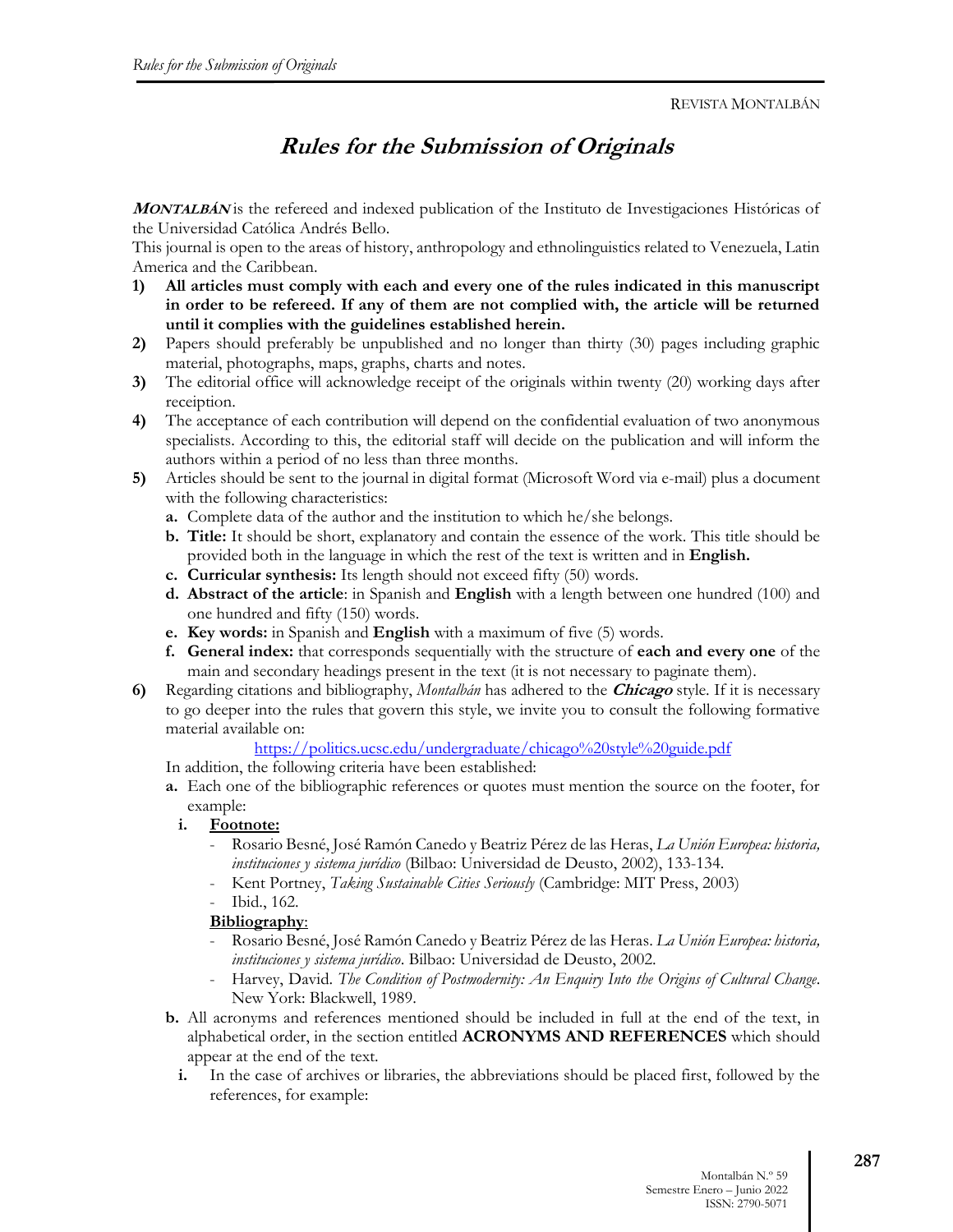# **Rules for the Submission of Originals**

**<sup>M</sup>ONTALBÁN** is the refereed and indexed publication of the Instituto de Investigaciones Históricas of the Universidad Católica Andrés Bello.

This journal is open to the areas of history, anthropology and ethnolinguistics related to Venezuela, Latin America and the Caribbean.

- **1) All articles must comply with each and every one of the rules indicated in this manuscript in order to be refereed. If any of them are not complied with, the article will be returned until it complies with the guidelines established herein.**
- **2)** Papers should preferably be unpublished and no longer than thirty (30) pages including graphic material, photographs, maps, graphs, charts and notes.
- **3)** The editorial office will acknowledge receipt of the originals within twenty (20) working days after receiption.
- **4)** The acceptance of each contribution will depend on the confidential evaluation of two anonymous specialists. According to this, the editorial staff will decide on the publication and will inform the authors within a period of no less than three months.
- **5)** Articles should be sent to the journal in digital format (Microsoft Word via e-mail) plus a document with the following characteristics:
	- **a.** Complete data of the author and the institution to which he/she belongs.
	- **b. Title:** It should be short, explanatory and contain the essence of the work. This title should be provided both in the language in which the rest of the text is written and in **English.**
	- **c. Curricular synthesis:** Its length should not exceed fifty (50) words.
	- **d. Abstract of the article**: in Spanish and **English** with a length between one hundred (100) and one hundred and fifty (150) words.
	- **e. Key words:** in Spanish and **English** with a maximum of five (5) words.
	- **f. General index:** that corresponds sequentially with the structure of **each and every one** of the main and secondary headings present in the text (it is not necessary to paginate them).
- **6)** Regarding citations and bibliography, *Montalbán* has adhered to the **Chicago** style. If it is necessary to go deeper into the rules that govern this style, we invite you to consult the following formative material available on:

https://politics.ucsc.edu/undergraduate/chicago%20style%20guide.pdf

- In addition, the following criteria have been established:
- **a.** Each one of the bibliographic references or quotes must mention the source on the footer, for example:
	- **i. Footnote:**
		- Rosario Besné, José Ramón Canedo y Beatriz Pérez de las Heras, *La Unión Europea: historia, instituciones y sistema jurídico* (Bilbao: Universidad de Deusto, 2002), 133-134.
		- Kent Portney, *Taking Sustainable Cities Seriously* (Cambridge: MIT Press, 2003)
		- Ibid., 162.

#### **Bibliography**:

- Rosario Besné, José Ramón Canedo y Beatriz Pérez de las Heras. *La Unión Europea: historia, instituciones y sistema jurídico*. Bilbao: Universidad de Deusto, 2002.
- Harvey, David. *The Condition of Postmodernity: An Enquiry Into the Origins of Cultural Change*. New York: Blackwell, 1989.
- **b.** All acronyms and references mentioned should be included in full at the end of the text, in alphabetical order, in the section entitled **ACRONYMS AND REFERENCES** which should appear at the end of the text.
	- **i.** In the case of archives or libraries, the abbreviations should be placed first, followed by the references, for example: